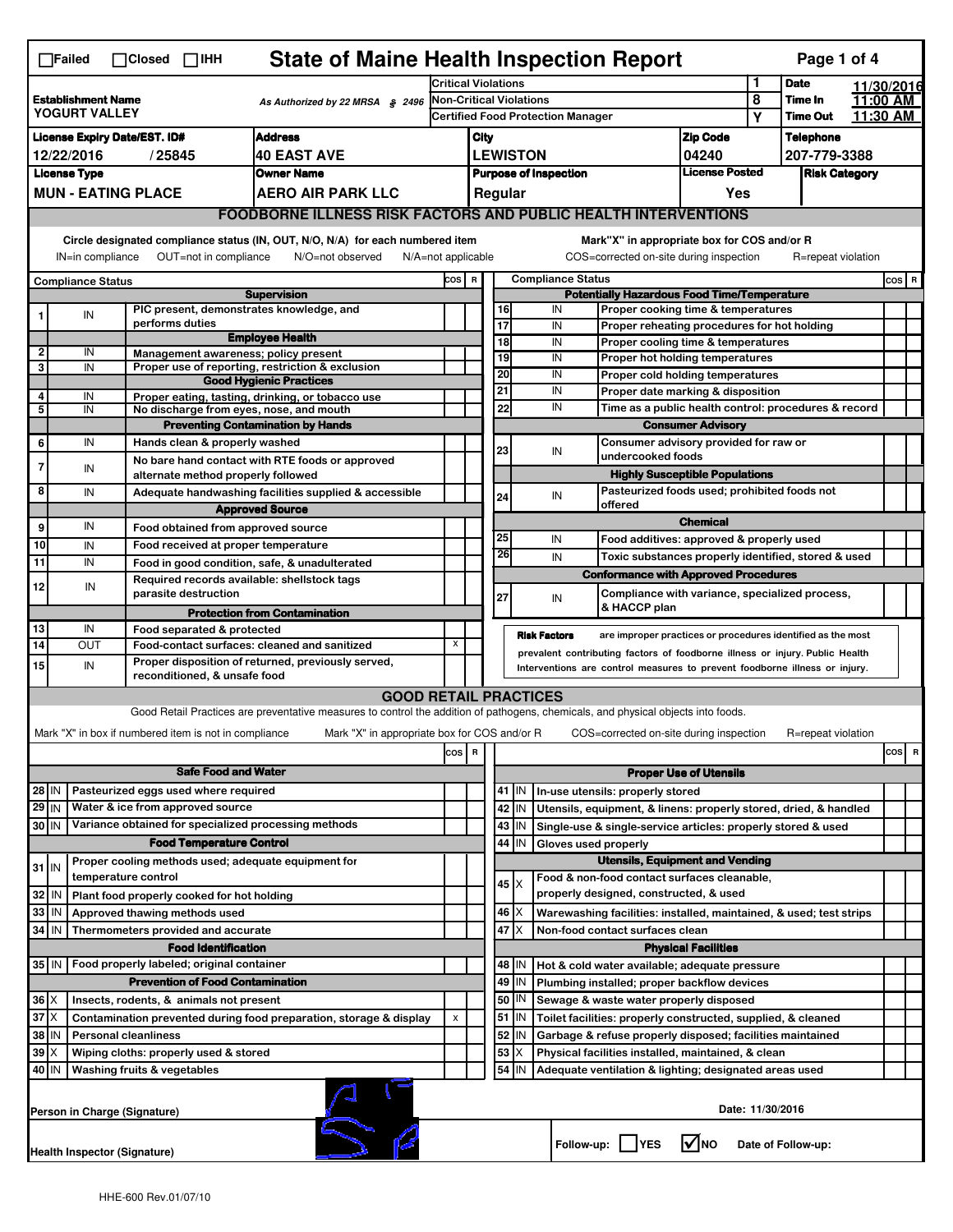| <b>State of Maine Health Inspection Report</b><br>Page 1 of 4<br>$\Box$ Failed<br>$\Box$ Closed $\Box$ iHH                                                                 |                                                                                                                                                                           |  |                             |                                                       |                                                                                                                                   |                                |                                   |                                                 |                                                                       |                                                                                                                                  |                      |                                                                                        |                                |         |                                      |          |          |
|----------------------------------------------------------------------------------------------------------------------------------------------------------------------------|---------------------------------------------------------------------------------------------------------------------------------------------------------------------------|--|-----------------------------|-------------------------------------------------------|-----------------------------------------------------------------------------------------------------------------------------------|--------------------------------|-----------------------------------|-------------------------------------------------|-----------------------------------------------------------------------|----------------------------------------------------------------------------------------------------------------------------------|----------------------|----------------------------------------------------------------------------------------|--------------------------------|---------|--------------------------------------|----------|----------|
|                                                                                                                                                                            |                                                                                                                                                                           |  |                             |                                                       | <b>Critical Violations</b>                                                                                                        |                                |                                   |                                                 |                                                                       |                                                                                                                                  |                      | 1                                                                                      | <b>Date</b>                    |         | 11/30/2016                           |          |          |
| <b>Establishment Name</b><br>As Authorized by 22 MRSA § 2496<br>YOGURT VALLEY                                                                                              |                                                                                                                                                                           |  |                             |                                                       |                                                                                                                                   | <b>Non-Critical Violations</b> |                                   |                                                 |                                                                       |                                                                                                                                  |                      |                                                                                        | 8                              | Time In |                                      | 11:00 AM |          |
|                                                                                                                                                                            |                                                                                                                                                                           |  |                             |                                                       |                                                                                                                                   |                                | Certified Food Protection Manager |                                                 |                                                                       |                                                                                                                                  |                      |                                                                                        |                                | Y       | <b>Time Out</b>                      |          | 11:30 AM |
| <b>Address</b><br><b>License Expiry Date/EST. ID#</b>                                                                                                                      |                                                                                                                                                                           |  |                             |                                                       |                                                                                                                                   |                                | City                              |                                                 |                                                                       |                                                                                                                                  |                      |                                                                                        | <b>Zip Code</b>                |         | <b>Telephone</b>                     |          |          |
| <b>40 EAST AVE</b><br>12/22/2016<br>/25845<br><b>Owner Name</b>                                                                                                            |                                                                                                                                                                           |  |                             |                                                       |                                                                                                                                   |                                |                                   | <b>LEWISTON</b><br><b>Purpose of Inspection</b> |                                                                       |                                                                                                                                  |                      |                                                                                        | 04240<br><b>License Posted</b> |         | 207-779-3388<br><b>Risk Category</b> |          |          |
|                                                                                                                                                                            | <b>License Type</b><br><b>MUN - EATING PLACE</b><br><b>AERO AIR PARK LLC</b>                                                                                              |  |                             |                                                       |                                                                                                                                   |                                |                                   |                                                 | Regular                                                               |                                                                                                                                  |                      |                                                                                        | Yes                            |         |                                      |          |          |
|                                                                                                                                                                            | <b>FOODBORNE ILLNESS RISK FACTORS AND PUBLIC HEALTH INTERVENTIONS</b>                                                                                                     |  |                             |                                                       |                                                                                                                                   |                                |                                   |                                                 |                                                                       |                                                                                                                                  |                      |                                                                                        |                                |         |                                      |          |          |
|                                                                                                                                                                            |                                                                                                                                                                           |  |                             |                                                       |                                                                                                                                   |                                |                                   |                                                 |                                                                       |                                                                                                                                  |                      |                                                                                        |                                |         |                                      |          |          |
|                                                                                                                                                                            | Circle designated compliance status (IN, OUT, N/O, N/A) for each numbered item<br>OUT=not in compliance<br>IN=in compliance<br>N/O=not observed<br>$N/A = not$ applicable |  |                             |                                                       |                                                                                                                                   |                                |                                   |                                                 |                                                                       |                                                                                                                                  |                      | Mark"X" in appropriate box for COS and/or R<br>COS=corrected on-site during inspection |                                |         | R=repeat violation                   |          |          |
| <b>Compliance Status</b>                                                                                                                                                   |                                                                                                                                                                           |  |                             |                                                       |                                                                                                                                   |                                | COS R<br><b>Compliance Status</b> |                                                 |                                                                       |                                                                                                                                  |                      |                                                                                        |                                |         |                                      | $cos$ R  |          |
|                                                                                                                                                                            |                                                                                                                                                                           |  |                             |                                                       | <b>Supervision</b>                                                                                                                |                                |                                   |                                                 |                                                                       |                                                                                                                                  |                      | <b>Potentially Hazardous Food Time/Temperature</b>                                     |                                |         |                                      |          |          |
| 1                                                                                                                                                                          | IN                                                                                                                                                                        |  | performs duties             |                                                       | PIC present, demonstrates knowledge, and                                                                                          |                                |                                   |                                                 | 16<br>$\overline{17}$                                                 |                                                                                                                                  | IN<br>IN             | Proper cooking time & temperatures<br>Proper reheating procedures for hot holding      |                                |         |                                      |          |          |
|                                                                                                                                                                            |                                                                                                                                                                           |  |                             |                                                       | <b>Employee Health</b>                                                                                                            |                                |                                   |                                                 | 18                                                                    |                                                                                                                                  | IN                   | Proper cooling time & temperatures                                                     |                                |         |                                      |          |          |
| $\overline{2}$<br>3                                                                                                                                                        | IN<br>IN                                                                                                                                                                  |  |                             |                                                       | Management awareness; policy present<br>Proper use of reporting, restriction & exclusion                                          |                                |                                   |                                                 | 19                                                                    |                                                                                                                                  | IN                   | Proper hot holding temperatures                                                        |                                |         |                                      |          |          |
|                                                                                                                                                                            |                                                                                                                                                                           |  |                             |                                                       | <b>Good Hygienic Practices</b>                                                                                                    |                                |                                   |                                                 | 20                                                                    |                                                                                                                                  | IN                   | Proper cold holding temperatures                                                       |                                |         |                                      |          |          |
| 4                                                                                                                                                                          | IN                                                                                                                                                                        |  |                             |                                                       | Proper eating, tasting, drinking, or tobacco use                                                                                  |                                |                                   |                                                 | 21                                                                    |                                                                                                                                  | IN                   | Proper date marking & disposition                                                      |                                |         |                                      |          |          |
| 5                                                                                                                                                                          | IN                                                                                                                                                                        |  |                             |                                                       | No discharge from eyes, nose, and mouth<br><b>Preventing Contamination by Hands</b>                                               |                                |                                   |                                                 | 22                                                                    |                                                                                                                                  | IN                   | Time as a public health control: procedures & record                                   |                                |         |                                      |          |          |
| 6                                                                                                                                                                          | IN                                                                                                                                                                        |  |                             | Hands clean & properly washed                         |                                                                                                                                   |                                |                                   |                                                 |                                                                       |                                                                                                                                  |                      | <b>Consumer Advisory</b><br>Consumer advisory provided for raw or                      |                                |         |                                      |          |          |
|                                                                                                                                                                            |                                                                                                                                                                           |  |                             |                                                       | No bare hand contact with RTE foods or approved                                                                                   |                                |                                   |                                                 | 23                                                                    |                                                                                                                                  | IN                   | undercooked foods                                                                      |                                |         |                                      |          |          |
| 7                                                                                                                                                                          | IN                                                                                                                                                                        |  |                             |                                                       | alternate method properly followed                                                                                                |                                |                                   |                                                 |                                                                       |                                                                                                                                  |                      | <b>Highly Susceptible Populations</b>                                                  |                                |         |                                      |          |          |
| 8                                                                                                                                                                          | IN                                                                                                                                                                        |  |                             |                                                       | Adequate handwashing facilities supplied & accessible                                                                             |                                |                                   |                                                 | 24                                                                    |                                                                                                                                  | IN                   | Pasteurized foods used; prohibited foods not<br>offered                                |                                |         |                                      |          |          |
|                                                                                                                                                                            |                                                                                                                                                                           |  |                             |                                                       | <b>Approved Source</b>                                                                                                            |                                |                                   |                                                 |                                                                       |                                                                                                                                  |                      |                                                                                        | <b>Chemical</b>                |         |                                      |          |          |
| 9<br>10                                                                                                                                                                    | IN                                                                                                                                                                        |  |                             |                                                       | Food obtained from approved source                                                                                                |                                |                                   |                                                 | 25                                                                    |                                                                                                                                  | IN                   | Food additives: approved & properly used                                               |                                |         |                                      |          |          |
| 11                                                                                                                                                                         | IN<br>IN                                                                                                                                                                  |  |                             |                                                       | Food received at proper temperature<br>Food in good condition, safe, & unadulterated                                              |                                |                                   |                                                 | 26                                                                    |                                                                                                                                  | IN                   | Toxic substances properly identified, stored & used                                    |                                |         |                                      |          |          |
|                                                                                                                                                                            |                                                                                                                                                                           |  |                             |                                                       | Required records available: shellstock tags                                                                                       |                                |                                   |                                                 |                                                                       |                                                                                                                                  |                      | <b>Conformance with Approved Procedures</b>                                            |                                |         |                                      |          |          |
| 12                                                                                                                                                                         | IN                                                                                                                                                                        |  |                             | parasite destruction                                  |                                                                                                                                   |                                |                                   |                                                 | 27                                                                    |                                                                                                                                  | IN                   | Compliance with variance, specialized process,                                         |                                |         |                                      |          |          |
|                                                                                                                                                                            |                                                                                                                                                                           |  |                             |                                                       | <b>Protection from Contamination</b>                                                                                              |                                |                                   |                                                 |                                                                       |                                                                                                                                  |                      | & HACCP plan                                                                           |                                |         |                                      |          |          |
| 13<br>14                                                                                                                                                                   | IN<br>OUT                                                                                                                                                                 |  |                             | Food separated & protected                            | Food-contact surfaces: cleaned and sanitized                                                                                      | X                              |                                   |                                                 |                                                                       |                                                                                                                                  | <b>Risk Factors</b>  | are improper practices or procedures identified as the most                            |                                |         |                                      |          |          |
| 15                                                                                                                                                                         | IN                                                                                                                                                                        |  |                             |                                                       | Proper disposition of returned, previously served,                                                                                |                                |                                   |                                                 |                                                                       |                                                                                                                                  |                      | prevalent contributing factors of foodborne illness or injury. Public Health           |                                |         |                                      |          |          |
|                                                                                                                                                                            |                                                                                                                                                                           |  |                             | reconditioned, & unsafe food                          |                                                                                                                                   |                                |                                   |                                                 |                                                                       |                                                                                                                                  |                      | Interventions are control measures to prevent foodborne illness or injury.             |                                |         |                                      |          |          |
|                                                                                                                                                                            |                                                                                                                                                                           |  |                             |                                                       | <b>GOOD RETAIL PRACTICES</b>                                                                                                      |                                |                                   |                                                 |                                                                       |                                                                                                                                  |                      |                                                                                        |                                |         |                                      |          |          |
|                                                                                                                                                                            |                                                                                                                                                                           |  |                             |                                                       | Good Retail Practices are preventative measures to control the addition of pathogens, chemicals, and physical objects into foods. |                                |                                   |                                                 |                                                                       |                                                                                                                                  |                      |                                                                                        |                                |         |                                      |          |          |
|                                                                                                                                                                            |                                                                                                                                                                           |  |                             | Mark "X" in box if numbered item is not in compliance | Mark "X" in appropriate box for COS and/or R                                                                                      |                                |                                   |                                                 |                                                                       |                                                                                                                                  |                      | COS=corrected on-site during inspection                                                |                                |         | R=repeat violation                   |          |          |
|                                                                                                                                                                            |                                                                                                                                                                           |  |                             |                                                       |                                                                                                                                   | cos   R                        |                                   |                                                 |                                                                       |                                                                                                                                  |                      |                                                                                        |                                |         |                                      |          | $cos$ R  |
|                                                                                                                                                                            |                                                                                                                                                                           |  |                             | <b>Safe Food and Water</b>                            |                                                                                                                                   |                                |                                   |                                                 |                                                                       |                                                                                                                                  |                      |                                                                                        | <b>Proper Use of Utensils</b>  |         |                                      |          |          |
| $28$ IN                                                                                                                                                                    |                                                                                                                                                                           |  |                             | Pasteurized eggs used where required                  |                                                                                                                                   |                                |                                   |                                                 | 41<br>42                                                              | IN.<br>IN                                                                                                                        |                      | In-use utensils: properly stored                                                       |                                |         |                                      |          |          |
| $29$ IN<br>Water & ice from approved source<br>Variance obtained for specialized processing methods<br>$30$ IN                                                             |                                                                                                                                                                           |  |                             |                                                       |                                                                                                                                   |                                | 43                                | IN                                              |                                                                       | Utensils, equipment, & linens: properly stored, dried, & handled<br>Single-use & single-service articles: properly stored & used |                      |                                                                                        |                                |         |                                      |          |          |
| <b>Food Temperature Control</b>                                                                                                                                            |                                                                                                                                                                           |  |                             |                                                       |                                                                                                                                   |                                |                                   |                                                 | 44                                                                    | IN                                                                                                                               | Gloves used properly |                                                                                        |                                |         |                                      |          |          |
| $31$ IN                                                                                                                                                                    |                                                                                                                                                                           |  |                             |                                                       | Proper cooling methods used; adequate equipment for                                                                               |                                |                                   |                                                 | <b>Utensils, Equipment and Vending</b>                                |                                                                                                                                  |                      |                                                                                        |                                |         |                                      |          |          |
|                                                                                                                                                                            |                                                                                                                                                                           |  | temperature control         |                                                       |                                                                                                                                   |                                |                                   |                                                 | 45                                                                    | Ix.                                                                                                                              |                      | Food & non-food contact surfaces cleanable,                                            |                                |         |                                      |          |          |
| 32                                                                                                                                                                         | ١N                                                                                                                                                                        |  |                             | Plant food properly cooked for hot holding            |                                                                                                                                   |                                |                                   |                                                 |                                                                       |                                                                                                                                  |                      | properly designed, constructed, & used                                                 |                                |         |                                      |          |          |
| 33                                                                                                                                                                         | IN                                                                                                                                                                        |  |                             | Approved thawing methods used                         |                                                                                                                                   |                                |                                   |                                                 | 46                                                                    |                                                                                                                                  |                      | Warewashing facilities: installed, maintained, & used; test strips                     |                                |         |                                      |          |          |
| $34$ IN                                                                                                                                                                    |                                                                                                                                                                           |  |                             | Thermometers provided and accurate                    |                                                                                                                                   |                                |                                   |                                                 | 47                                                                    |                                                                                                                                  |                      | Non-food contact surfaces clean                                                        |                                |         |                                      |          |          |
| <b>Food Identification</b><br><b>Physical Facilities</b><br>35 IN<br>Food properly labeled; original container<br>48   IN<br>Hot & cold water available; adequate pressure |                                                                                                                                                                           |  |                             |                                                       |                                                                                                                                   |                                |                                   |                                                 |                                                                       |                                                                                                                                  |                      |                                                                                        |                                |         |                                      |          |          |
|                                                                                                                                                                            | <b>Prevention of Food Contamination</b>                                                                                                                                   |  |                             |                                                       |                                                                                                                                   |                                |                                   |                                                 | 49                                                                    | IN                                                                                                                               |                      | Plumbing installed; proper backflow devices                                            |                                |         |                                      |          |          |
|                                                                                                                                                                            | $36 \times$<br>Insects, rodents, & animals not present                                                                                                                    |  |                             |                                                       |                                                                                                                                   |                                |                                   |                                                 | $50$ M                                                                |                                                                                                                                  |                      | Sewage & waste water properly disposed                                                 |                                |         |                                      |          |          |
|                                                                                                                                                                            | $37$ $\times$<br>Contamination prevented during food preparation, storage & display                                                                                       |  |                             |                                                       |                                                                                                                                   | $\pmb{\chi}$                   |                                   |                                                 | $51$ M                                                                |                                                                                                                                  |                      | Toilet facilities: properly constructed, supplied, & cleaned                           |                                |         |                                      |          |          |
|                                                                                                                                                                            | 38 IN<br><b>Personal cleanliness</b>                                                                                                                                      |  |                             |                                                       |                                                                                                                                   |                                |                                   |                                                 | 52<br>IN<br>Garbage & refuse properly disposed; facilities maintained |                                                                                                                                  |                      |                                                                                        |                                |         |                                      |          |          |
| 39                                                                                                                                                                         | ΙX<br>Wiping cloths: properly used & stored                                                                                                                               |  |                             |                                                       |                                                                                                                                   |                                |                                   |                                                 | 53                                                                    |                                                                                                                                  |                      | Physical facilities installed, maintained, & clean                                     |                                |         |                                      |          |          |
| 40 IN                                                                                                                                                                      |                                                                                                                                                                           |  | Washing fruits & vegetables |                                                       |                                                                                                                                   |                                |                                   |                                                 | 54                                                                    | lιn                                                                                                                              |                      | Adequate ventilation & lighting; designated areas used                                 |                                |         |                                      |          |          |
|                                                                                                                                                                            | Date: 11/30/2016<br>Person in Charge (Signature)                                                                                                                          |  |                             |                                                       |                                                                                                                                   |                                |                                   |                                                 |                                                                       |                                                                                                                                  |                      |                                                                                        |                                |         |                                      |          |          |
|                                                                                                                                                                            | l√Ino<br>Follow-up:     YES<br>Date of Follow-up:<br>Health Inspector (Signature)                                                                                         |  |                             |                                                       |                                                                                                                                   |                                |                                   |                                                 |                                                                       |                                                                                                                                  |                      |                                                                                        |                                |         |                                      |          |          |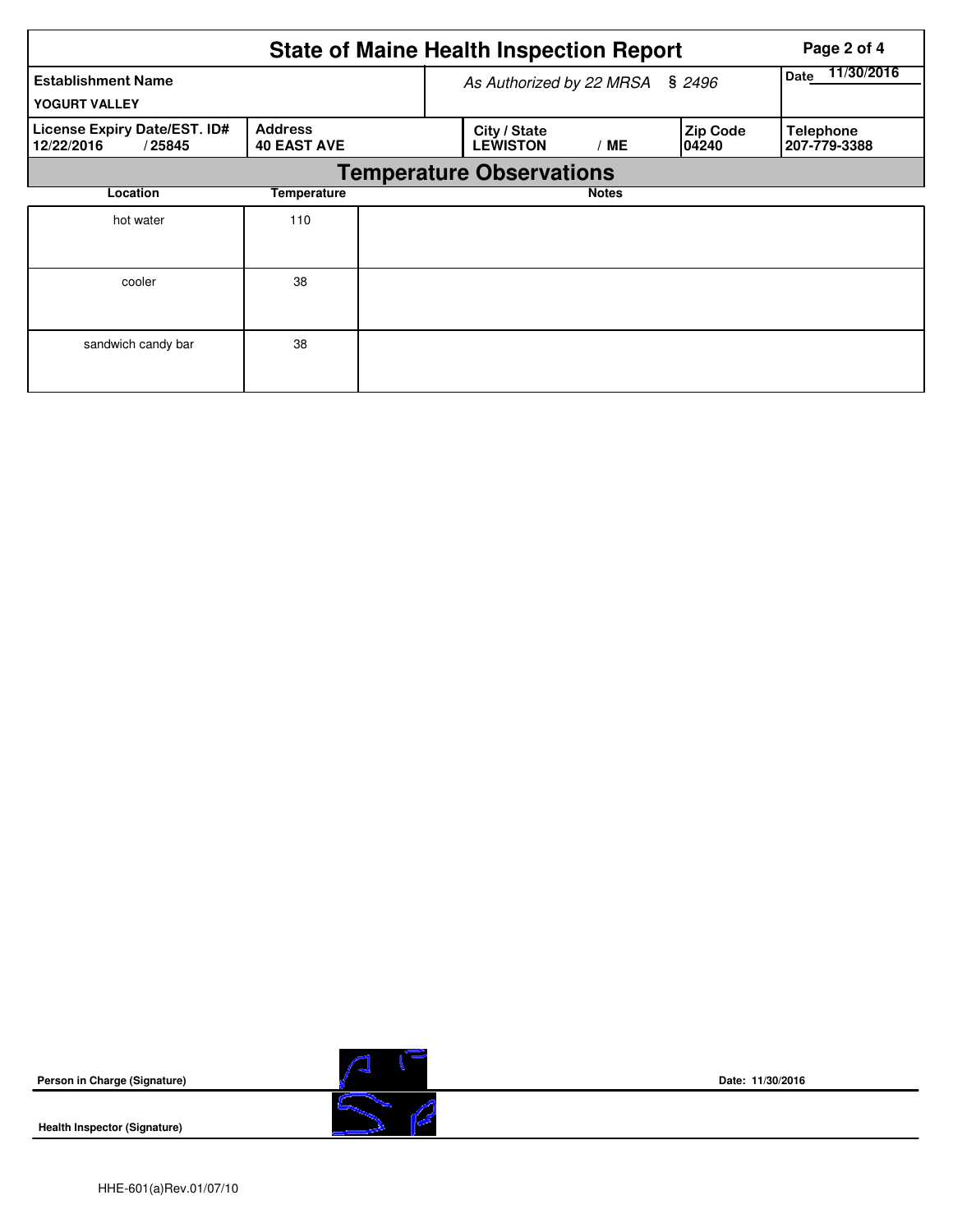|                                                      |                                      | <b>State of Maine Health Inspection Report</b> |                                 | Page 2 of 4               |                          |                                  |
|------------------------------------------------------|--------------------------------------|------------------------------------------------|---------------------------------|---------------------------|--------------------------|----------------------------------|
| <b>Establishment Name</b><br>YOGURT VALLEY           |                                      |                                                | As Authorized by 22 MRSA        | 11/30/2016<br><b>Date</b> |                          |                                  |
| License Expiry Date/EST. ID#<br>12/22/2016<br>/25845 | <b>Address</b><br><b>40 EAST AVE</b> |                                                | City / State<br><b>LEWISTON</b> | /ME                       | <b>Zip Code</b><br>04240 | <b>Telephone</b><br>207-779-3388 |
|                                                      |                                      | <b>Temperature Observations</b>                |                                 |                           |                          |                                  |
| Location                                             | Temperature                          |                                                |                                 | <b>Notes</b>              |                          |                                  |
| hot water                                            | 110                                  |                                                |                                 |                           |                          |                                  |
| cooler                                               | 38                                   |                                                |                                 |                           |                          |                                  |
| sandwich candy bar                                   | 38                                   |                                                |                                 |                           |                          |                                  |



**Health Inspector (Signature)** 



**Date: 11/30/2016**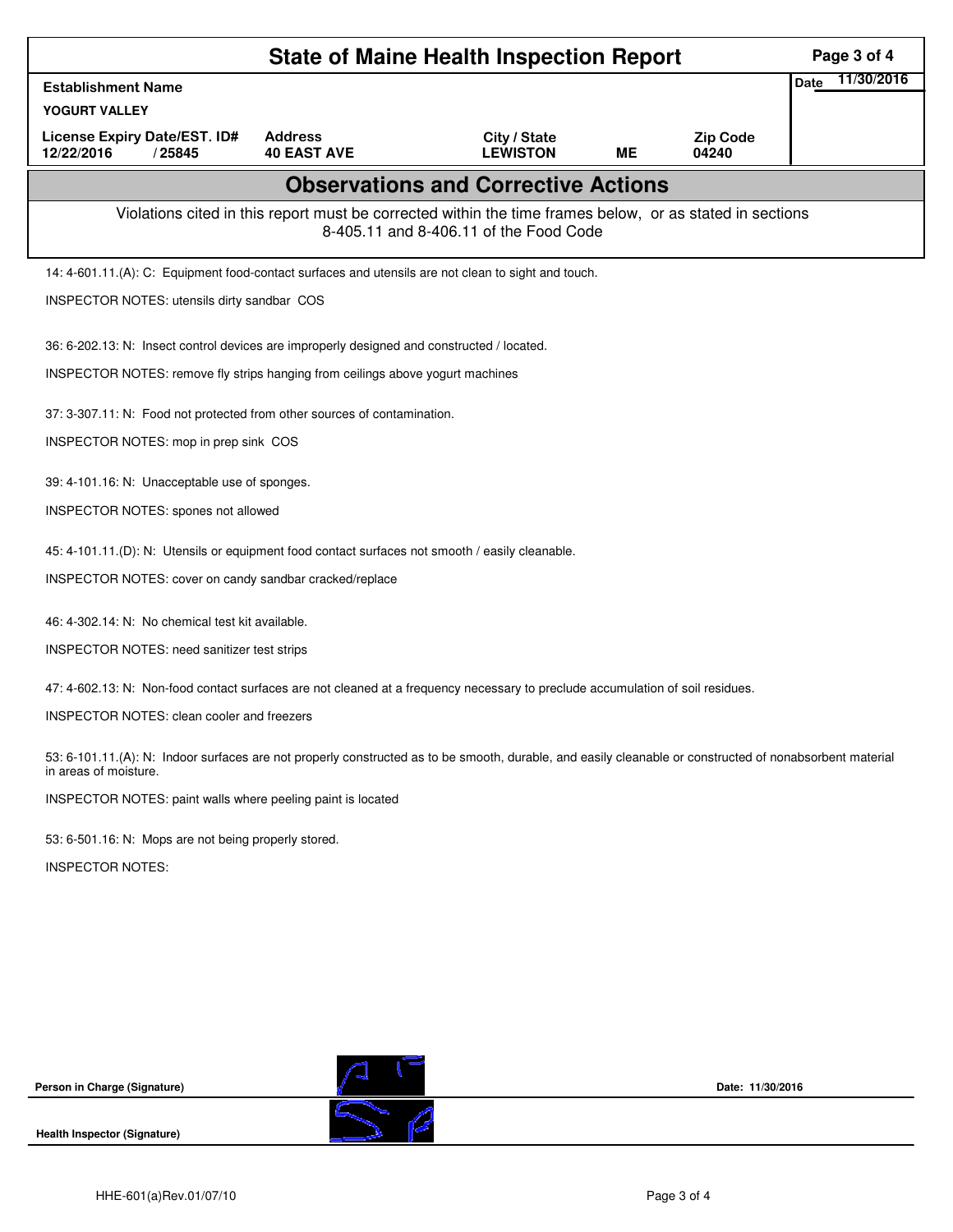| <b>State of Maine Health Inspection Report</b><br>Page 3 of 4                                                                                                                     |                                                                                                                                                    |                                            |           |                          |                           |  |  |  |  |
|-----------------------------------------------------------------------------------------------------------------------------------------------------------------------------------|----------------------------------------------------------------------------------------------------------------------------------------------------|--------------------------------------------|-----------|--------------------------|---------------------------|--|--|--|--|
| <b>Establishment Name</b>                                                                                                                                                         |                                                                                                                                                    |                                            |           |                          | 11/30/2016<br><b>Date</b> |  |  |  |  |
| YOGURT VALLEY                                                                                                                                                                     |                                                                                                                                                    |                                            |           |                          |                           |  |  |  |  |
| License Expiry Date/EST. ID#<br>12/22/2016<br>/25845                                                                                                                              | <b>Address</b><br><b>40 EAST AVE</b>                                                                                                               | City / State<br><b>LEWISTON</b>            | <b>ME</b> | <b>Zip Code</b><br>04240 |                           |  |  |  |  |
|                                                                                                                                                                                   |                                                                                                                                                    | <b>Observations and Corrective Actions</b> |           |                          |                           |  |  |  |  |
|                                                                                                                                                                                   | Violations cited in this report must be corrected within the time frames below, or as stated in sections<br>8-405.11 and 8-406.11 of the Food Code |                                            |           |                          |                           |  |  |  |  |
| 14: 4-601.11.(A): C: Equipment food-contact surfaces and utensils are not clean to sight and touch.                                                                               |                                                                                                                                                    |                                            |           |                          |                           |  |  |  |  |
| INSPECTOR NOTES: utensils dirty sandbar COS                                                                                                                                       |                                                                                                                                                    |                                            |           |                          |                           |  |  |  |  |
| 36: 6-202.13: N: Insect control devices are improperly designed and constructed / located.                                                                                        |                                                                                                                                                    |                                            |           |                          |                           |  |  |  |  |
| INSPECTOR NOTES: remove fly strips hanging from ceilings above yogurt machines                                                                                                    |                                                                                                                                                    |                                            |           |                          |                           |  |  |  |  |
| 37: 3-307.11: N: Food not protected from other sources of contamination.                                                                                                          |                                                                                                                                                    |                                            |           |                          |                           |  |  |  |  |
| INSPECTOR NOTES: mop in prep sink COS                                                                                                                                             |                                                                                                                                                    |                                            |           |                          |                           |  |  |  |  |
| 39: 4-101.16: N: Unacceptable use of sponges.                                                                                                                                     |                                                                                                                                                    |                                            |           |                          |                           |  |  |  |  |
| INSPECTOR NOTES: spones not allowed                                                                                                                                               |                                                                                                                                                    |                                            |           |                          |                           |  |  |  |  |
| 45: 4-101.11.(D): N: Utensils or equipment food contact surfaces not smooth / easily cleanable.                                                                                   |                                                                                                                                                    |                                            |           |                          |                           |  |  |  |  |
| INSPECTOR NOTES: cover on candy sandbar cracked/replace                                                                                                                           |                                                                                                                                                    |                                            |           |                          |                           |  |  |  |  |
| 46: 4-302.14: N: No chemical test kit available.                                                                                                                                  |                                                                                                                                                    |                                            |           |                          |                           |  |  |  |  |
| INSPECTOR NOTES: need sanitizer test strips                                                                                                                                       |                                                                                                                                                    |                                            |           |                          |                           |  |  |  |  |
| 47: 4-602.13: N: Non-food contact surfaces are not cleaned at a frequency necessary to preclude accumulation of soil residues.                                                    |                                                                                                                                                    |                                            |           |                          |                           |  |  |  |  |
|                                                                                                                                                                                   | <b>INSPECTOR NOTES: clean cooler and freezers</b>                                                                                                  |                                            |           |                          |                           |  |  |  |  |
| 53: 6-101.11.(A): N: Indoor surfaces are not properly constructed as to be smooth, durable, and easily cleanable or constructed of nonabsorbent material<br>in areas of moisture. |                                                                                                                                                    |                                            |           |                          |                           |  |  |  |  |
| INSPECTOR NOTES: paint walls where peeling paint is located                                                                                                                       |                                                                                                                                                    |                                            |           |                          |                           |  |  |  |  |
| 53: 6-501.16: N: Mops are not being properly stored.                                                                                                                              |                                                                                                                                                    |                                            |           |                          |                           |  |  |  |  |
| <b>INSPECTOR NOTES:</b>                                                                                                                                                           |                                                                                                                                                    |                                            |           |                          |                           |  |  |  |  |
|                                                                                                                                                                                   |                                                                                                                                                    |                                            |           |                          |                           |  |  |  |  |
|                                                                                                                                                                                   |                                                                                                                                                    |                                            |           |                          |                           |  |  |  |  |
|                                                                                                                                                                                   |                                                                                                                                                    |                                            |           |                          |                           |  |  |  |  |
|                                                                                                                                                                                   |                                                                                                                                                    |                                            |           |                          |                           |  |  |  |  |
|                                                                                                                                                                                   |                                                                                                                                                    |                                            |           |                          |                           |  |  |  |  |
| Person in Charge (Signature)                                                                                                                                                      |                                                                                                                                                    |                                            |           | Date: 11/30/2016         |                           |  |  |  |  |

**Health Inspector (Signature)** 

 $\overline{\mathcal{D}}$ 

 $\mathbb{Z}$